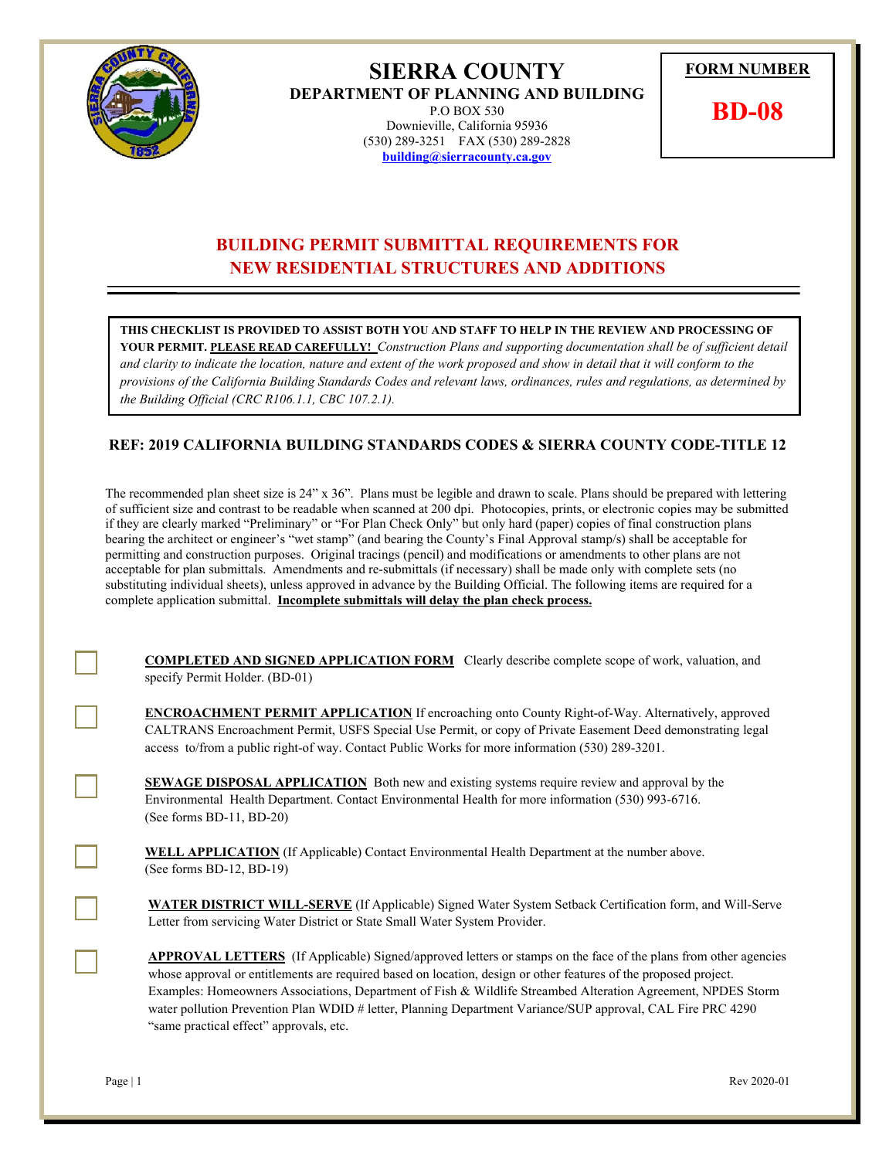

 $\overline{\phantom{a}}$ 

## **SIERRA COUNTY**

**DEPARTMENT OF PLANNING AND BUILDING**  P.O BOX 530 Downieville, California 95936 (530) 289-3251 FAX (530) 289-2828 **building@sierracounty.ca.gov**

**FORM NUMBER** 

**BD-08** 

## **BUILDING PERMIT SUBMITTAL REQUIREMENTS FOR NEW RESIDENTIAL STRUCTURES AND ADDITIONS**

**THIS CHECKLIST IS PROVIDED TO ASSIST BOTH YOU AND STAFF TO HELP IN THE REVIEW AND PROCESSING OF YOUR PERMIT. PLEASE READ CAREFULLY!** *Construction Plans and supporting documentation shall be of sufficient detail and clarity to indicate the location, nature and extent of the work proposed and show in detail that it will conform to the provisions of the California Building Standards Codes and relevant laws, ordinances, rules and regulations, as determined by the Building Official (CRC R106.1.1, CBC 107.2.1).* 

## **REF: 2019 CALIFORNIA BUILDING STANDARDS CODES & SIERRA COUNTY CODE-TITLE 12**

The recommended plan sheet size is 24" x 36". Plans must be legible and drawn to scale. Plans should be prepared with lettering of sufficient size and contrast to be readable when scanned at 200 dpi. Photocopies, prints, or electronic copies may be submitted if they are clearly marked "Preliminary" or "For Plan Check Only" but only hard (paper) copies of final construction plans bearing the architect or engineer's "wet stamp" (and bearing the County's Final Approval stamp/s) shall be acceptable for permitting and construction purposes. Original tracings (pencil) and modifications or amendments to other plans are not acceptable for plan submittals. Amendments and re-submittals (if necessary) shall be made only with complete sets (no substituting individual sheets), unless approved in advance by the Building Official. The following items are required for a complete application submittal. **Incomplete submittals will delay the plan check process.** 

 **COMPLETED AND SIGNED APPLICATION FORM** Clearly describe complete scope of work, valuation, and specify Permit Holder. (BD-01)

 **ENCROACHMENT PERMIT APPLICATION** If encroaching onto County Right-of-Way. Alternatively, approved CALTRANS Encroachment Permit, USFS Special Use Permit, or copy of Private Easement Deed demonstrating legal access to/from a public right-of way. Contact Public Works for more information (530) 289-3201.

 **SEWAGE DISPOSAL APPLICATION** Both new and existing systems require review and approval by the Environmental Health Department. Contact Environmental Health for more information (530) 993-6716. (See forms BD-11, BD-20)

 **WELL APPLICATION** (If Applicable) Contact Environmental Health Department at the number above. (See forms BD-12, BD-19)

 **WATER DISTRICT WILL-SERVE** (If Applicable) Signed Water System Setback Certification form, and Will-Serve Letter from servicing Water District or State Small Water System Provider.

 **APPROVAL LETTERS** (If Applicable) Signed/approved letters or stamps on the face of the plans from other agencies whose approval or entitlements are required based on location, design or other features of the proposed project. Examples: Homeowners Associations, Department of Fish & Wildlife Streambed Alteration Agreement, NPDES Storm water pollution Prevention Plan WDID # letter, Planning Department Variance/SUP approval, CAL Fire PRC 4290 "same practical effect" approvals, etc.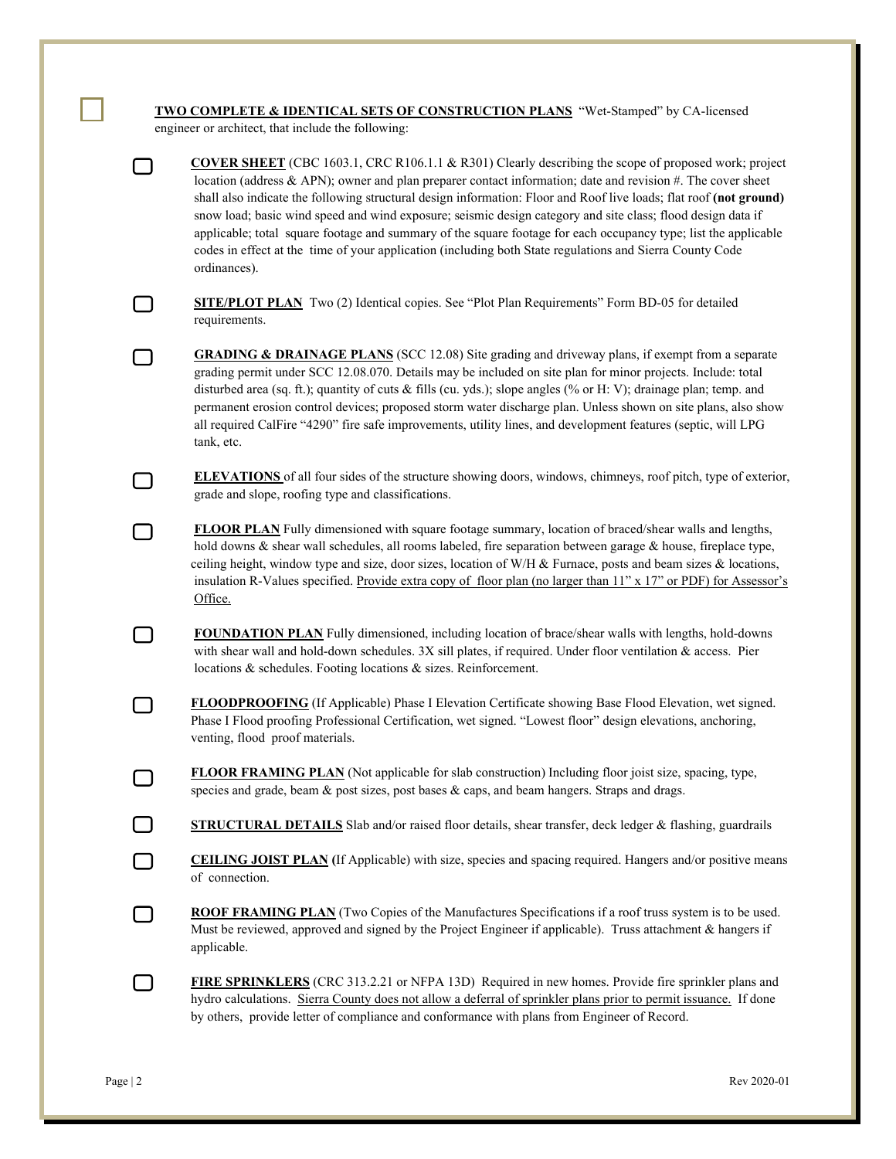|   | <b>TWO COMPLETE &amp; IDENTICAL SETS OF CONSTRUCTION PLANS</b> "Wet-Stamped" by CA-licensed                                                                                                                                                                                                                                                                                                                                                                                                                                                                                                                                                                                                                                                                          |  |  |  |  |  |  |  |
|---|----------------------------------------------------------------------------------------------------------------------------------------------------------------------------------------------------------------------------------------------------------------------------------------------------------------------------------------------------------------------------------------------------------------------------------------------------------------------------------------------------------------------------------------------------------------------------------------------------------------------------------------------------------------------------------------------------------------------------------------------------------------------|--|--|--|--|--|--|--|
|   | engineer or architect, that include the following:<br><b>COVER SHEET</b> (CBC 1603.1, CRC R106.1.1 & R301) Clearly describing the scope of proposed work; project<br>location (address & APN); owner and plan preparer contact information; date and revision #. The cover sheet<br>shall also indicate the following structural design information: Floor and Roof live loads; flat roof (not ground)<br>snow load; basic wind speed and wind exposure; seismic design category and site class; flood design data if<br>applicable; total square footage and summary of the square footage for each occupancy type; list the applicable<br>codes in effect at the time of your application (including both State regulations and Sierra County Code<br>ordinances). |  |  |  |  |  |  |  |
|   | SITE/PLOT PLAN Two (2) Identical copies. See "Plot Plan Requirements" Form BD-05 for detailed<br>requirements.                                                                                                                                                                                                                                                                                                                                                                                                                                                                                                                                                                                                                                                       |  |  |  |  |  |  |  |
|   | <b>GRADING &amp; DRAINAGE PLANS</b> (SCC 12.08) Site grading and driveway plans, if exempt from a separate<br>grading permit under SCC 12.08.070. Details may be included on site plan for minor projects. Include: total<br>disturbed area (sq. ft.); quantity of cuts & fills (cu. yds.); slope angles (% or H: V); drainage plan; temp. and<br>permanent erosion control devices; proposed storm water discharge plan. Unless shown on site plans, also show<br>all required CalFire "4290" fire safe improvements, utility lines, and development features (septic, will LPG<br>tank, etc.                                                                                                                                                                       |  |  |  |  |  |  |  |
|   | <b>ELEVATIONS</b> of all four sides of the structure showing doors, windows, chimneys, roof pitch, type of exterior,<br>grade and slope, roofing type and classifications.                                                                                                                                                                                                                                                                                                                                                                                                                                                                                                                                                                                           |  |  |  |  |  |  |  |
|   | <b>FLOOR PLAN</b> Fully dimensioned with square footage summary, location of braced/shear walls and lengths,<br>hold downs & shear wall schedules, all rooms labeled, fire separation between garage & house, fireplace type,<br>ceiling height, window type and size, door sizes, location of W/H & Furnace, posts and beam sizes & locations,<br>insulation R-Values specified. Provide extra copy of floor plan (no larger than 11" x 17" or PDF) for Assessor's<br>Office.                                                                                                                                                                                                                                                                                       |  |  |  |  |  |  |  |
|   | FOUNDATION PLAN Fully dimensioned, including location of brace/shear walls with lengths, hold-downs<br>with shear wall and hold-down schedules. $3X$ sill plates, if required. Under floor ventilation & access. Pier<br>locations & schedules. Footing locations & sizes. Reinforcement.                                                                                                                                                                                                                                                                                                                                                                                                                                                                            |  |  |  |  |  |  |  |
|   | FLOODPROOFING (If Applicable) Phase I Elevation Certificate showing Base Flood Elevation, wet signed.<br>Phase I Flood proofing Professional Certification, wet signed. "Lowest floor" design elevations, anchoring,<br>venting, flood proof materials.                                                                                                                                                                                                                                                                                                                                                                                                                                                                                                              |  |  |  |  |  |  |  |
|   | FLOOR FRAMING PLAN (Not applicable for slab construction) Including floor joist size, spacing, type,<br>species and grade, beam & post sizes, post bases & caps, and beam hangers. Straps and drags.                                                                                                                                                                                                                                                                                                                                                                                                                                                                                                                                                                 |  |  |  |  |  |  |  |
|   | STRUCTURAL DETAILS Slab and/or raised floor details, shear transfer, deck ledger & flashing, guardrails                                                                                                                                                                                                                                                                                                                                                                                                                                                                                                                                                                                                                                                              |  |  |  |  |  |  |  |
| ∩ | <b>CEILING JOIST PLAN</b> (If Applicable) with size, species and spacing required. Hangers and/or positive means<br>of connection.                                                                                                                                                                                                                                                                                                                                                                                                                                                                                                                                                                                                                                   |  |  |  |  |  |  |  |
|   | ROOF FRAMING PLAN (Two Copies of the Manufactures Specifications if a roof truss system is to be used.<br>Must be reviewed, approved and signed by the Project Engineer if applicable). Truss attachment & hangers if<br>applicable.                                                                                                                                                                                                                                                                                                                                                                                                                                                                                                                                 |  |  |  |  |  |  |  |
|   | FIRE SPRINKLERS (CRC 313.2.21 or NFPA 13D) Required in new homes. Provide fire sprinkler plans and<br>hydro calculations. Sierra County does not allow a deferral of sprinkler plans prior to permit issuance. If done<br>by others, provide letter of compliance and conformance with plans from Engineer of Record.                                                                                                                                                                                                                                                                                                                                                                                                                                                |  |  |  |  |  |  |  |